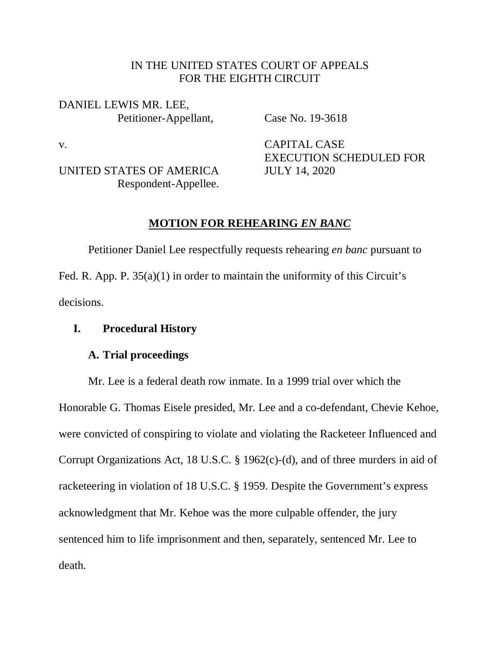## IN THE UNITED STATES COURT OF APPEALS FOR THE EIGHTH CIRCUIT

DANIEL LEWIS MR. LEE, Petitioner-Appellant, Case No. 19-3618

UNITED STATES OF AMERICA JULY 14, 2020 Respondent-Appellee.

v. CAPITAL CASE EXECUTION SCHEDULED FOR

# **MOTION FOR REHEARING** *EN BANC*

Petitioner Daniel Lee respectfully requests rehearing *en banc* pursuant to Fed. R. App. P.  $35(a)(1)$  in order to maintain the uniformity of this Circuit's decisions.

# **I. Procedural History**

# **A. Trial proceedings**

Mr. Lee is a federal death row inmate. In a 1999 trial over which the Honorable G. Thomas Eisele presided, Mr. Lee and a co-defendant, Chevie Kehoe, were convicted of conspiring to violate and violating the Racketeer Influenced and Corrupt Organizations Act, 18 U.S.C. § 1962(c)-(d), and of three murders in aid of racketeering in violation of 18 U.S.C. § 1959. Despite the Government's express acknowledgment that Mr. Kehoe was the more culpable offender, the jury sentenced him to life imprisonment and then, separately, sentenced Mr. Lee to death.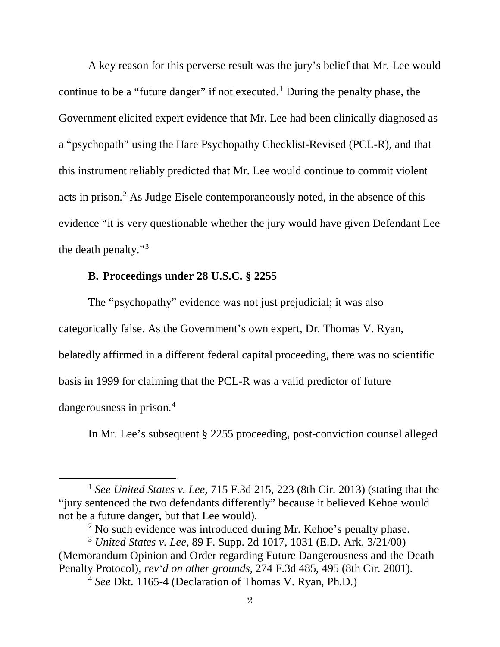A key reason for this perverse result was the jury's belief that Mr. Lee would continue to be a "future danger" if not executed.<sup>[1](#page-1-0)</sup> During the penalty phase, the Government elicited expert evidence that Mr. Lee had been clinically diagnosed as a "psychopath" using the Hare Psychopathy Checklist-Revised (PCL-R), and that this instrument reliably predicted that Mr. Lee would continue to commit violent acts in prison.[2](#page-1-1) As Judge Eisele contemporaneously noted, in the absence of this evidence "it is very questionable whether the jury would have given Defendant Lee the death penalty."[3](#page-1-2)

## **B. Proceedings under 28 U.S.C. § 2255**

 $\overline{a}$ 

The "psychopathy" evidence was not just prejudicial; it was also categorically false. As the Government's own expert, Dr. Thomas V. Ryan, belatedly affirmed in a different federal capital proceeding, there was no scientific basis in 1999 for claiming that the PCL-R was a valid predictor of future dangerousness in prison.<sup>[4](#page-1-3)</sup>

In Mr. Lee's subsequent § 2255 proceeding, post-conviction counsel alleged

<span id="page-1-0"></span><sup>1</sup> *See United States v. Lee,* 715 F.3d 215, 223 (8th Cir. 2013) (stating that the "jury sentenced the two defendants differently" because it believed Kehoe would not be a future danger, but that Lee would).

 $<sup>2</sup>$  No such evidence was introduced during Mr. Kehoe's penalty phase.</sup>

<span id="page-1-3"></span><span id="page-1-2"></span><span id="page-1-1"></span><sup>3</sup> *United States v. Lee*, 89 F. Supp. 2d 1017, 1031 (E.D. Ark. 3/21/00) (Memorandum Opinion and Order regarding Future Dangerousness and the Death Penalty Protocol), *rev'd on other grounds*, 274 F.3d 485, 495 (8th Cir. 2001).

<sup>4</sup> *See* Dkt. 1165-4 (Declaration of Thomas V. Ryan, Ph.D.)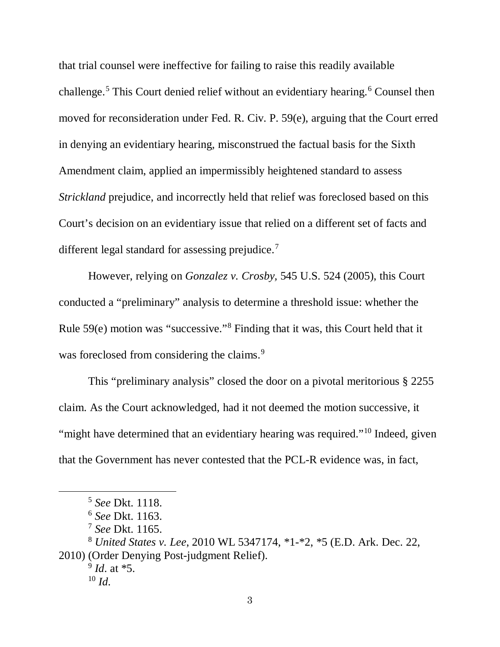that trial counsel were ineffective for failing to raise this readily available challenge.<sup>[5](#page-2-0)</sup> This Court denied relief without an evidentiary hearing.<sup>[6](#page-2-1)</sup> Counsel then moved for reconsideration under Fed. R. Civ. P. 59(e), arguing that the Court erred in denying an evidentiary hearing, misconstrued the factual basis for the Sixth Amendment claim, applied an impermissibly heightened standard to assess *Strickland* prejudice, and incorrectly held that relief was foreclosed based on this Court's decision on an evidentiary issue that relied on a different set of facts and different legal standard for assessing prejudice.<sup>[7](#page-2-2)</sup>

However, relying on *Gonzalez v. Crosby,* 545 U.S. 524 (2005), this Court conducted a "preliminary" analysis to determine a threshold issue: whether the Rule 59(e) motion was "successive."[8](#page-2-3) Finding that it was, this Court held that it was foreclosed from considering the claims.<sup>[9](#page-2-4)</sup>

This "preliminary analysis" closed the door on a pivotal meritorious § 2255 claim. As the Court acknowledged, had it not deemed the motion successive, it "might have determined that an evidentiary hearing was required."<sup>[10](#page-2-5)</sup> Indeed, given that the Government has never contested that the PCL-R evidence was, in fact,

<span id="page-2-0"></span> $\overline{a}$ 

<sup>5</sup> *See* Dkt. 1118.

<sup>6</sup> *See* Dkt. 1163.

<sup>7</sup> *See* Dkt. 1165.

<span id="page-2-5"></span><span id="page-2-4"></span><span id="page-2-3"></span><span id="page-2-2"></span><span id="page-2-1"></span><sup>8</sup> *United States v. Lee*, 2010 WL 5347174, \*1-\*2, \*5 (E.D. Ark. Dec. 22, 2010) (Order Denying Post-judgment Relief).

<sup>9</sup> *Id*. at \*5.  $10 \, \text{Id}$ .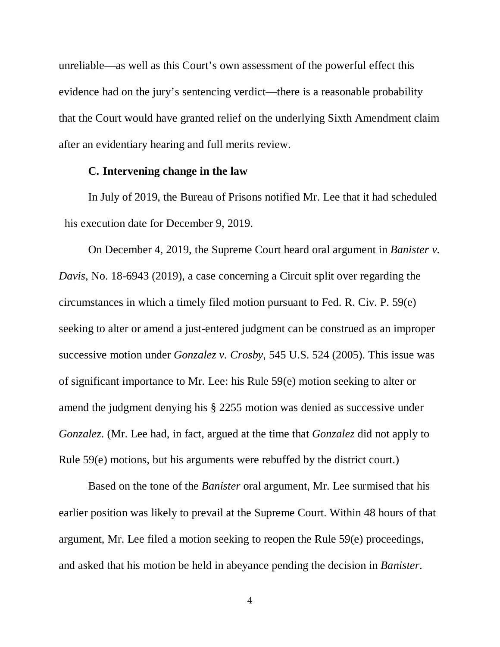unreliable—as well as this Court's own assessment of the powerful effect this evidence had on the jury's sentencing verdict—there is a reasonable probability that the Court would have granted relief on the underlying Sixth Amendment claim after an evidentiary hearing and full merits review.

### **C. Intervening change in the law**

In July of 2019, the Bureau of Prisons notified Mr. Lee that it had scheduled his execution date for December 9, 2019.

On December 4, 2019, the Supreme Court heard oral argument in *Banister v. Davis*, No. 18-6943 (2019), a case concerning a Circuit split over regarding the circumstances in which a timely filed motion pursuant to Fed. R. Civ. P. 59(e) seeking to alter or amend a just-entered judgment can be construed as an improper successive motion under *Gonzalez v. Crosby*, 545 U.S. 524 (2005). This issue was of significant importance to Mr. Lee: his Rule 59(e) motion seeking to alter or amend the judgment denying his § 2255 motion was denied as successive under *Gonzalez*. (Mr. Lee had, in fact, argued at the time that *Gonzalez* did not apply to Rule 59(e) motions, but his arguments were rebuffed by the district court.)

Based on the tone of the *Banister* oral argument, Mr. Lee surmised that his earlier position was likely to prevail at the Supreme Court. Within 48 hours of that argument, Mr. Lee filed a motion seeking to reopen the Rule 59(e) proceedings, and asked that his motion be held in abeyance pending the decision in *Banister*.

4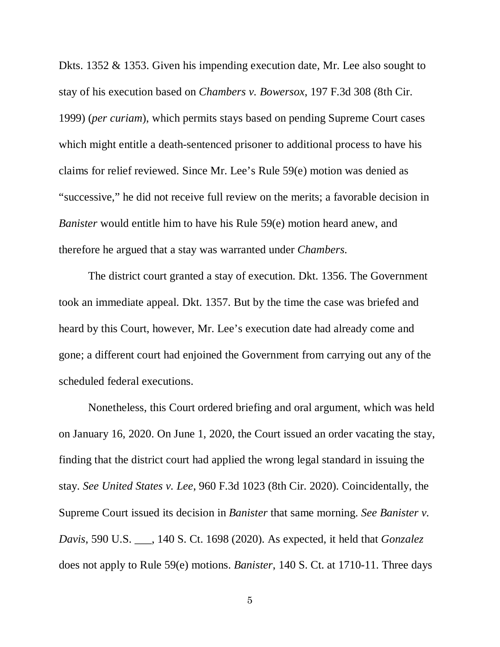Dkts. 1352 & 1353. Given his impending execution date, Mr. Lee also sought to stay of his execution based on *Chambers v. Bowersox*, 197 F.3d 308 (8th Cir. 1999) (*per curiam*), which permits stays based on pending Supreme Court cases which might entitle a death-sentenced prisoner to additional process to have his claims for relief reviewed. Since Mr. Lee's Rule 59(e) motion was denied as "successive," he did not receive full review on the merits; a favorable decision in *Banister* would entitle him to have his Rule 59(e) motion heard anew, and therefore he argued that a stay was warranted under *Chambers.*

The district court granted a stay of execution. Dkt. 1356. The Government took an immediate appeal. Dkt. 1357. But by the time the case was briefed and heard by this Court, however, Mr. Lee's execution date had already come and gone; a different court had enjoined the Government from carrying out any of the scheduled federal executions.

Nonetheless, this Court ordered briefing and oral argument, which was held on January 16, 2020. On June 1, 2020, the Court issued an order vacating the stay, finding that the district court had applied the wrong legal standard in issuing the stay. *See United States v. Lee*, 960 F.3d 1023 (8th Cir. 2020). Coincidentally, the Supreme Court issued its decision in *Banister* that same morning. *See Banister v. Davis*, 590 U.S. \_\_\_, 140 S. Ct. 1698 (2020). As expected, it held that *Gonzalez* does not apply to Rule 59(e) motions. *Banister*, 140 S. Ct. at 1710-11. Three days

5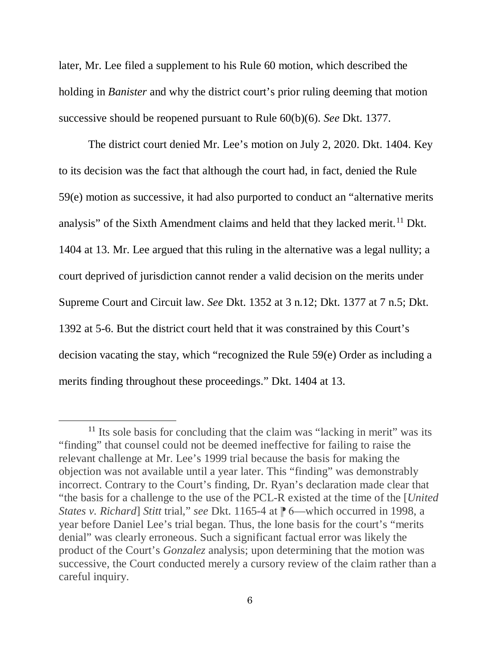later, Mr. Lee filed a supplement to his Rule 60 motion, which described the holding in *Banister* and why the district court's prior ruling deeming that motion successive should be reopened pursuant to Rule 60(b)(6). *See* Dkt. 1377.

The district court denied Mr. Lee's motion on July 2, 2020. Dkt. 1404. Key to its decision was the fact that although the court had, in fact, denied the Rule 59(e) motion as successive, it had also purported to conduct an "alternative merits analysis" of the Sixth Amendment claims and held that they lacked merit.<sup>[11](#page-5-0)</sup> Dkt. 1404 at 13. Mr. Lee argued that this ruling in the alternative was a legal nullity; a court deprived of jurisdiction cannot render a valid decision on the merits under Supreme Court and Circuit law. *See* Dkt. 1352 at 3 n.12; Dkt. 1377 at 7 n.5; Dkt. 1392 at 5-6. But the district court held that it was constrained by this Court's decision vacating the stay, which "recognized the Rule 59(e) Order as including a merits finding throughout these proceedings." Dkt. 1404 at 13.

 $\overline{a}$ 

<span id="page-5-0"></span><sup>&</sup>lt;sup>11</sup> Its sole basis for concluding that the claim was "lacking in merit" was its "finding" that counsel could not be deemed ineffective for failing to raise the relevant challenge at Mr. Lee's 1999 trial because the basis for making the objection was not available until a year later. This "finding" was demonstrably incorrect. Contrary to the Court's finding, Dr. Ryan's declaration made clear that "the basis for a challenge to the use of the PCL-R existed at the time of the [*United States v. Richard*] *Stitt* trial," *see* Dkt. 1165-4 at  $\mathbb{P}$  6—which occurred in 1998, a year before Daniel Lee's trial began. Thus, the lone basis for the court's "merits denial" was clearly erroneous. Such a significant factual error was likely the product of the Court's *Gonzalez* analysis; upon determining that the motion was successive, the Court conducted merely a cursory review of the claim rather than a careful inquiry.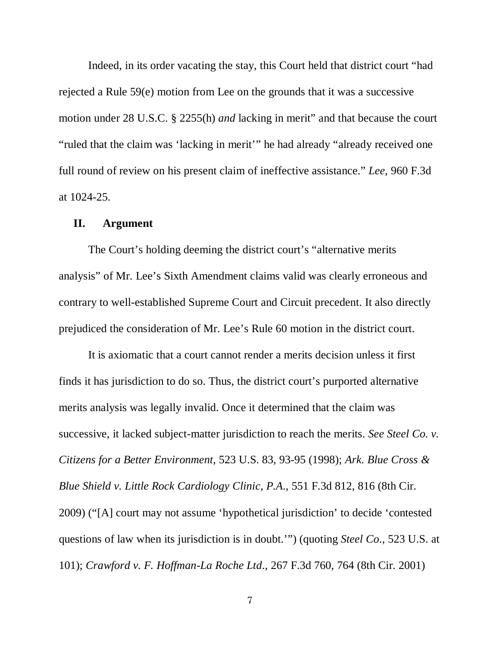Indeed, in its order vacating the stay, this Court held that district court "had rejected a Rule 59(e) motion from Lee on the grounds that it was a successive motion under 28 U.S.C. § 2255(h) *and* lacking in merit" and that because the court "ruled that the claim was 'lacking in merit'" he had already "already received one full round of review on his present claim of ineffective assistance." *Lee*, 960 F.3d at 1024-25.

#### **II. Argument**

The Court's holding deeming the district court's "alternative merits analysis" of Mr. Lee's Sixth Amendment claims valid was clearly erroneous and contrary to well-established Supreme Court and Circuit precedent. It also directly prejudiced the consideration of Mr. Lee's Rule 60 motion in the district court.

It is axiomatic that a court cannot render a merits decision unless it first finds it has jurisdiction to do so. Thus, the district court's purported alternative merits analysis was legally invalid. Once it determined that the claim was successive, it lacked subject-matter jurisdiction to reach the merits. *See Steel Co. v. Citizens for a Better Environment*, 523 U.S. 83, 93-95 (1998); *Ark. Blue Cross & Blue Shield v. Little Rock Cardiology Clinic, P.A*., 551 F.3d 812, 816 (8th Cir. 2009) ("[A] court may not assume 'hypothetical jurisdiction' to decide 'contested questions of law when its jurisdiction is in doubt.'") (quoting *Steel Co*., 523 U.S. at 101); *Crawford v. F. Hoffman-La Roche Ltd*., 267 F.3d 760, 764 (8th Cir. 2001)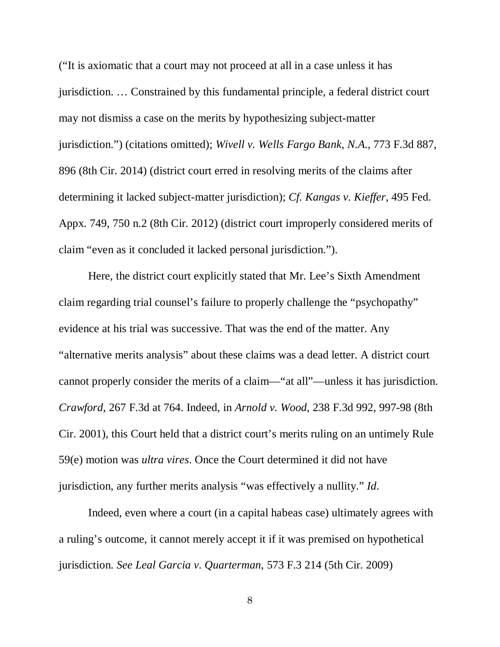("It is axiomatic that a court may not proceed at all in a case unless it has jurisdiction. … Constrained by this fundamental principle, a federal district court may not dismiss a case on the merits by hypothesizing subject-matter jurisdiction.") (citations omitted); *Wivell v. Wells Fargo Bank, N.A*., 773 F.3d 887, 896 (8th Cir. 2014) (district court erred in resolving merits of the claims after determining it lacked subject-matter jurisdiction); *Cf. Kangas v. Kieffer*, 495 Fed. Appx. 749, 750 n.2 (8th Cir. 2012) (district court improperly considered merits of claim "even as it concluded it lacked personal jurisdiction.").

Here, the district court explicitly stated that Mr. Lee's Sixth Amendment claim regarding trial counsel's failure to properly challenge the "psychopathy" evidence at his trial was successive. That was the end of the matter. Any "alternative merits analysis" about these claims was a dead letter. A district court cannot properly consider the merits of a claim—"at all"—unless it has jurisdiction. *Crawford*, 267 F.3d at 764. Indeed, in *Arnold v. Wood*, 238 F.3d 992, 997-98 (8th Cir. 2001), this Court held that a district court's merits ruling on an untimely Rule 59(e) motion was *ultra vires*. Once the Court determined it did not have jurisdiction, any further merits analysis "was effectively a nullity." *Id*.

Indeed, even where a court (in a capital habeas case) ultimately agrees with a ruling's outcome, it cannot merely accept it if it was premised on hypothetical jurisdiction. *See Leal Garcia v. Quarterman*, 573 F.3 214 (5th Cir. 2009)

8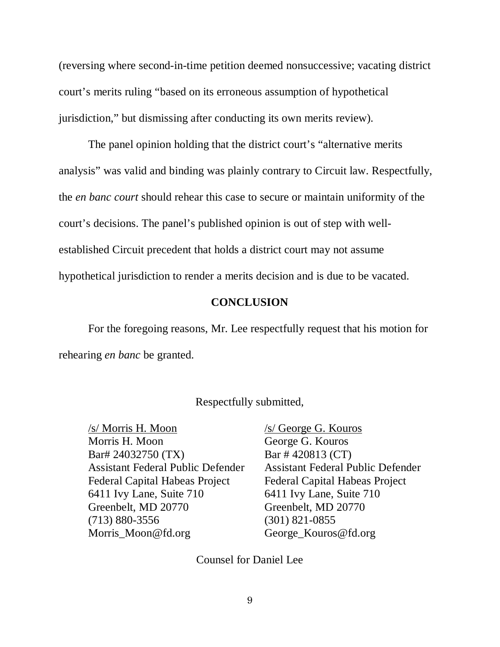(reversing where second-in-time petition deemed nonsuccessive; vacating district court's merits ruling "based on its erroneous assumption of hypothetical jurisdiction," but dismissing after conducting its own merits review).

The panel opinion holding that the district court's "alternative merits analysis" was valid and binding was plainly contrary to Circuit law. Respectfully, the *en banc court* should rehear this case to secure or maintain uniformity of the court's decisions. The panel's published opinion is out of step with wellestablished Circuit precedent that holds a district court may not assume hypothetical jurisdiction to render a merits decision and is due to be vacated.

### **CONCLUSION**

For the foregoing reasons, Mr. Lee respectfully request that his motion for rehearing *en banc* be granted.

### Respectfully submitted,

/s/ Morris H. Moon /s/ George G. Kouros Morris H. Moon George G. Kouros Bar# 24032750 (TX) Bar # 420813 (CT) Federal Capital Habeas Project Federal Capital Habeas Project 6411 Ivy Lane, Suite 710 6411 Ivy Lane, Suite 710 Greenbelt, MD 20770 Greenbelt, MD 20770 (713) 880-3556 (301) 821-0855 Morris\_Moon@fd.org George\_Kouros@fd.org

Assistant Federal Public Defender Assistant Federal Public Defender

Counsel for Daniel Lee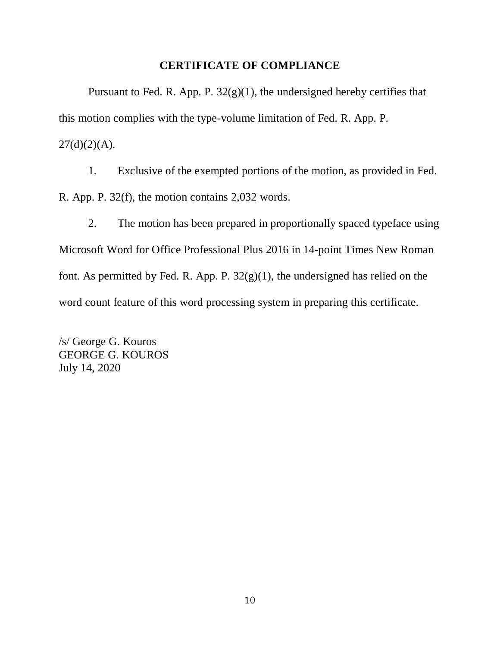## **CERTIFICATE OF COMPLIANCE**

Pursuant to Fed. R. App. P.  $32(g)(1)$ , the undersigned hereby certifies that this motion complies with the type-volume limitation of Fed. R. App. P.  $27(d)(2)(A)$ .

1. Exclusive of the exempted portions of the motion, as provided in Fed. R. App. P. 32(f), the motion contains 2,032 words.

2. The motion has been prepared in proportionally spaced typeface using Microsoft Word for Office Professional Plus 2016 in 14-point Times New Roman font. As permitted by Fed. R. App. P.  $32(g)(1)$ , the undersigned has relied on the word count feature of this word processing system in preparing this certificate.

/s/ George G. Kouros GEORGE G. KOUROS July 14, 2020